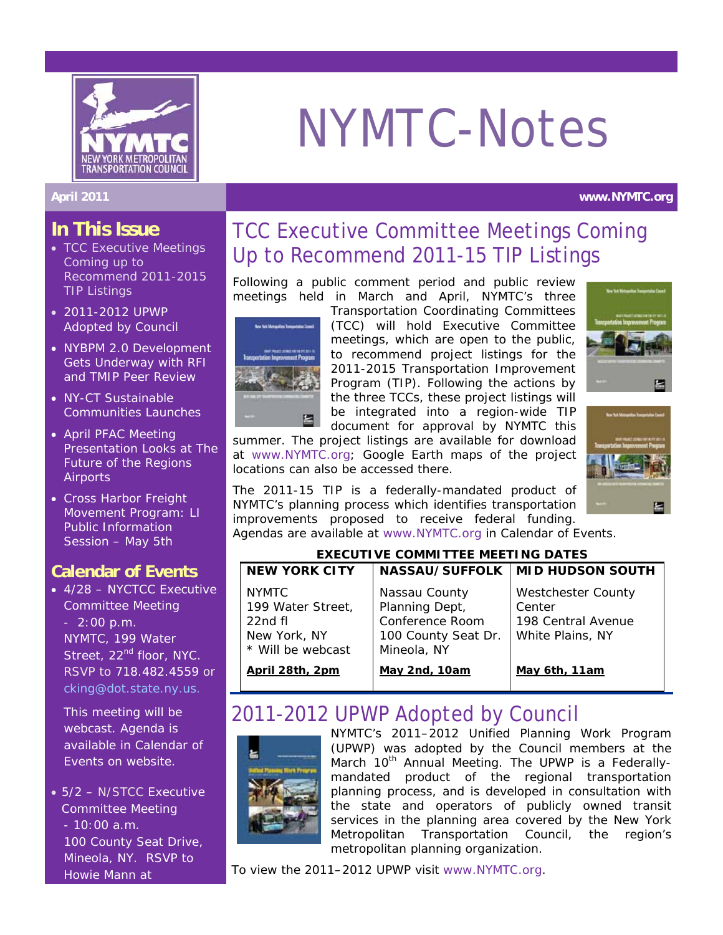

# NYMTC-Notes

#### **April 2011 www.NYMTC.org**

### **In This Issue**

- TCC Executive Meetings Coming up to Recommend 2011-2015 TIP Listings
- 2011-2012 UPWP Adopted by Council
- NYBPM 2.0 Development Gets Underway with RFI and TMIP Peer Review
- NY-CT Sustainable Communities Launches
- April PFAC Meeting Presentation Looks at *The Future of the Regions Airports*
- Cross Harbor Freight Movement Program: LI Public Information Session – May 5th

## **Calendar of Events**

• 4/28 – NYCTCC Executive Committee Meeting - 2:00 p.m. NYMTC, 199 Water Street, 22<sup>nd</sup> floor, NYC. RSVP to 718.482.4559 or [cking@dot.state.ny.us](mailto:cking@dot.state.ny.us).

This meeting will be webcast. Agenda is available in Calendar of Events on website.

• 5/2 – N/STCC Executive Committee Meeting - 10:00 a.m. 100 County Seat Drive, Mineola, NY. RSVP to Howie Mann at

## TCC Executive Committee Meetings Coming Up to Recommend 2011-15 TIP Listings

Following a public comment period and public review meetings held in March and April, NYMTC's three



Transportation Coordinating Committees (TCC) will hold Executive Committee meetings, which are open to the public, to recommend project listings for the 2011-2015 Transportation Improvement Program (TIP). Following the actions by the three TCCs, these project listings will be integrated into a region-wide TIP document for approval by NYMTC this





summer. The project listings are available for download at [www.NYMTC.org;](http://www.nymtc.org/) Google Earth maps of the project locations can also be accessed there.

The 2011-15 TIP is a federally-mandated product of NYMTC's planning process which identifies transportation improvements proposed to receive federal funding. Agendas are available at [www.NYMTC.org](http://www.nymtc.org/) in Calendar of Events.

#### **EXECUTIVE COMMITTEE MEETING DATES**

| <b>NEW YORK CITY</b>                                                             |                                                                                          | <b>NASSAU/SUFFOLK   MID HUDSON SOUTH</b>                                      |
|----------------------------------------------------------------------------------|------------------------------------------------------------------------------------------|-------------------------------------------------------------------------------|
| <b>NYMTC</b><br>199 Water Street,<br>22ndfl<br>New York, NY<br>* Will be webcast | Nassau County<br>Planning Dept,<br>Conference Room<br>100 County Seat Dr.<br>Mineola, NY | <b>Westchester County</b><br>Center<br>198 Central Avenue<br>White Plains, NY |
| April 28th, 2pm                                                                  | <b>May 2nd, 10am</b>                                                                     | <u>May 6th, 11am</u>                                                          |

## 2011-2012 UPWP Adopted by Council



NYMTC's 2011–2012 Unified Planning Work Program (UPWP) was adopted by the Council members at the March 10<sup>th</sup> Annual Meeting. The UPWP is a Federallymandated product of the regional transportation planning process, and is developed in consultation with the state and operators of publicly owned transit services in the planning area covered by the New York Metropolitan Transportation Council, the region's metropolitan planning organization.

To view the 2011–2012 UPWP visit [www.NYMTC.org](http://www.nymtc.org/).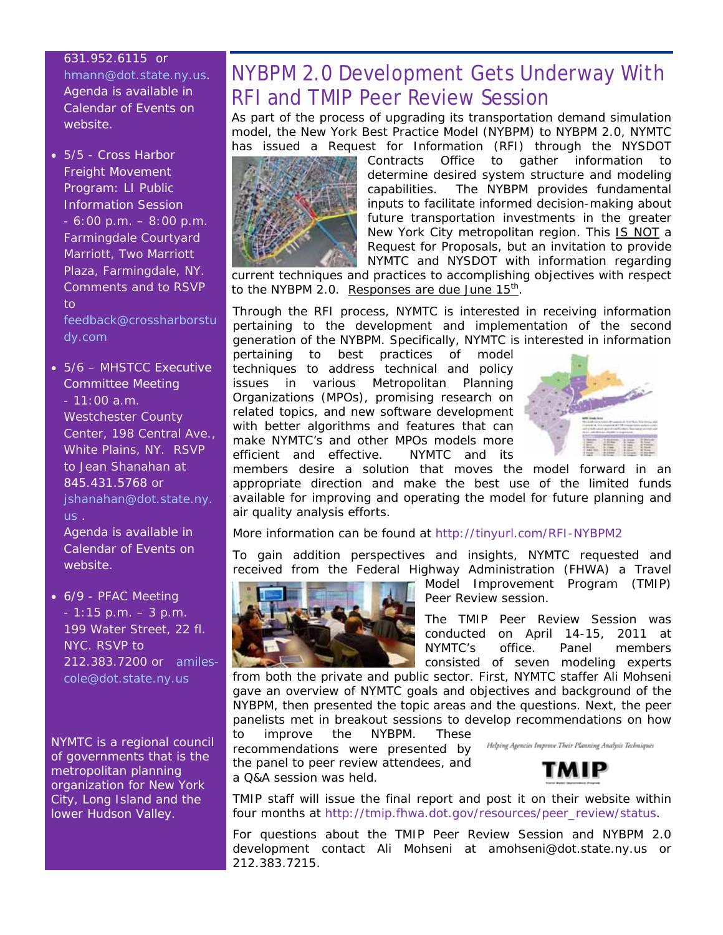#### 631.952.6115 or

[hmann@dot.state.ny.us.](mailto:hmann@dot.state.ny.us) Agenda is available in Calendar of Events on website.

• 5/5 - Cross Harbor Freight Movement Program: LI Public Information Session  $-6:00$  p.m.  $-8:00$  p.m. Farmingdale Courtyard Marriott, Two Marriott Plaza, Farmingdale, NY. Comments and to RSVP  $t<sub>0</sub>$ 

[feedback@crossharborstu](mailto:feedback@crossharborstudy.com) [dy.com](mailto:feedback@crossharborstudy.com)

• 5/6 – MHSTCC Executive Committee Meeting - 11:00 a.m. Westchester County Center, 198 Central Ave., White Plains, NY. RSVP to Jean Shanahan at 845.431.5768 or [jshanahan@dot.state.ny.](mailto:jshanahan@dot.state.ny.us) [us](mailto:jshanahan@dot.state.ny.us) .

Agenda is available in Calendar of Events on website.

• 6/9 - PFAC Meeting - 1:15 p.m. – 3 p.m. 199 Water Street, 22 fl. NYC. RSVP to 212.383.7200 or [amiles](mailto:amiles-cole@dot.state.ny.us)[cole@dot.state.ny.us](mailto:amiles-cole@dot.state.ny.us)

NYMTC is a regional council of governments that is the metropolitan planning organization for New York City, Long Island and the lower Hudson Valley.

## NYBPM 2.0 Development Gets Underway With RFI and TMIP Peer Review Session

As part of the process of upgrading its transportation demand simulation model, the New York Best Practice Model (NYBPM) to NYBPM 2.0, NYMTC has issued a Request for Information (RFI) through the NYSDOT



Contracts Office to gather information to determine desired system structure and modeling capabilities. The NYBPM provides fundamental inputs to facilitate informed decision-making about future transportation investments in the greater New York City metropolitan region. This IS NOT a Request for Proposals, but an invitation to provide NYMTC and NYSDOT with information regarding

current techniques and practices to accomplishing objectives with respect to the NYBPM 2.0. Responses are due June  $15<sup>th</sup>$ .

Through the RFI process, NYMTC is interested in receiving information pertaining to the development and implementation of the second generation of the NYBPM. Specifically, NYMTC is interested in information

pertaining to best practices of model techniques to address technical and policy issues in various Metropolitan Planning Organizations (MPOs), promising research on related topics, and new software development with better algorithms and features that can make NYMTC's and other MPOs models more efficient and effective. NYMTC and its



members desire a solution that moves the model forward in an appropriate direction and make the best use of the limited funds available for improving and operating the model for future planning and air quality analysis efforts.

More information can be found at <http://tinyurl.com/RFI-NYBPM2>

To gain addition perspectives and insights, NYMTC requested and received from the Federal Highway Administration (FHWA) a Travel



Model Improvement Program (TMIP) Peer Review session.

The TMIP Peer Review Session was conducted on April 14-15, 2011 at NYMTC's office. Panel members consisted of seven modeling experts

from both the private and public sector. First, NYMTC staffer Ali Mohseni gave an overview of NYMTC goals and objectives and background of the NYBPM, then presented the topic areas and the questions. Next, the peer panelists met in breakout sessions to develop recommendations on how to improve the NYBPM. These

recommendations were presented by the panel to peer review attendees, and a Q&A session was held.





TMIP staff will issue the final report and post it on their website within four months at [http://tmip.fhwa.dot.gov/resources/peer\\_review/status.](http://tmip.fhwa.dot.gov/resources/peer_review/status)

For questions about the TMIP Peer Review Session and NYBPM 2.0 development contact Ali Mohseni at [amohseni@dot.state.ny.us](mailto:amohseni@dot.state.ny.us) or 212.383.7215.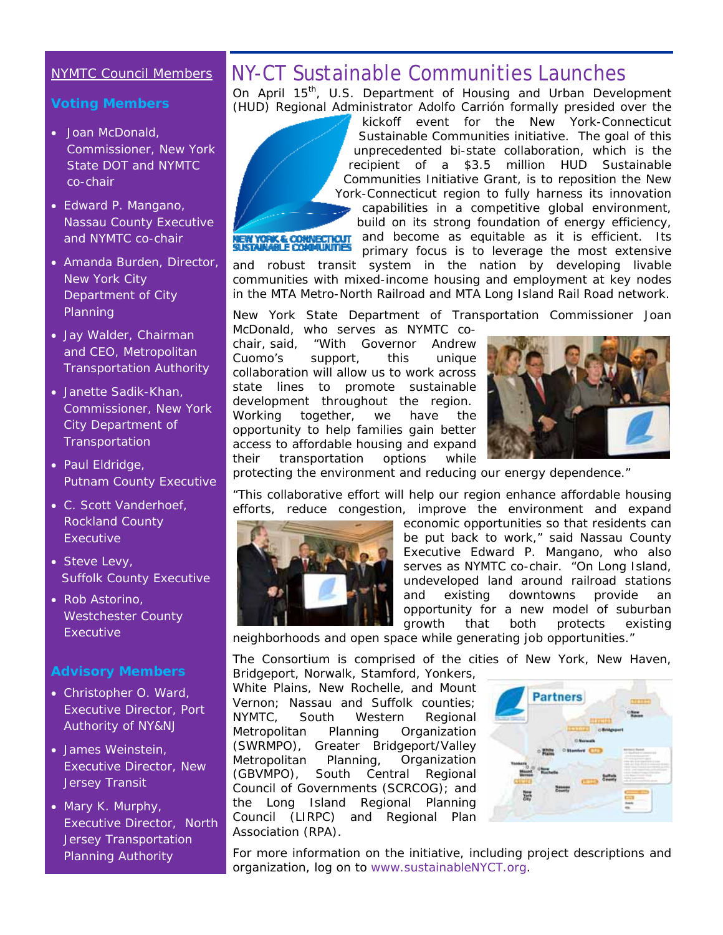## NYMTC Council Members

#### **Voting Members**

- Joan McDonald, Commissioner, New York State DOT and NYMTC co-chair
- Edward P. Mangano, Nassau County Executive and NYMTC co-chair
- Amanda Burden, Director, New York City Department of City Planning
- Jay Walder, Chairman and CEO, Metropolitan Transportation Authority
- Janette Sadik-Khan, Commissioner, New York City Department of **Transportation**
- Paul Eldridge, Putnam County Executive
- C. Scott Vanderhoef, Rockland County **Executive**
- Steve Levy, Suffolk County Executive
- Rob Astorino, Westchester County Executive

#### **Advisory Members**

- Christopher O. Ward, Executive Director, Port Authority of NY&NJ
- James Weinstein, Executive Director, New Jersey Transit
- Mary K. Murphy, Executive Director, North Jersey Transportation Planning Authority

## NY-CT Sustainable Communities Launches

On April 15<sup>th</sup>, U.S. Department of Housing and Urban Development (HUD) Regional Administrator Adolfo Carrión formally presided over the



kickoff event for the *New York-Connecticut Sustainable Communities* initiative. The goal of this unprecedented bi-state collaboration, which is the recipient of a \$3.5 million HUD Sustainable Communities Initiative Grant, is to reposition the New York-Connecticut region to fully harness its innovation capabilities in a competitive global environment,

build on its strong foundation of energy efficiency, and become as equitable as it is efficient. Its primary focus is to leverage the most extensive

and robust transit system in the nation by developing livable communities with mixed-income housing and employment at key nodes in the MTA Metro-North Railroad and MTA Long Island Rail Road network.

New York State Department of Transportation Commissioner Joan

McDonald, who serves as NYMTC cochair, said, "With Governor Andrew Cuomo's support, this unique collaboration will allow us to work across state lines to promote sustainable development throughout the region. Working together, we have the opportunity to help families gain better access to affordable housing and expand their transportation options while



protecting the environment and reducing our energy dependence."

"This collaborative effort will help our region enhance affordable housing efforts, reduce congestion, improve the environment and expand



economic opportunities so that residents can be put back to work," said Nassau County Executive Edward P. Mangano, who also serves as NYMTC co-chair. "On Long Island, undeveloped land around railroad stations and existing downtowns provide an opportunity for a new model of suburban growth that both protects existing

neighborhoods and open space while generating job opportunities."

The Consortium is comprised of the cities of New York, New Haven, Bridgeport, Norwalk, Stamford, Yonkers,

White Plains, New Rochelle, and Mount Vernon; Nassau and Suffolk counties; NYMTC, South Western Regional Metropolitan Planning Organization (SWRMPO), Greater Bridgeport/Valley Metropolitan Planning, Organization (GBVMPO), South Central Regional Council of Governments (SCRCOG); and the Long Island Regional Planning Council (LIRPC) and Regional Plan Association (RPA).



For more information on the initiative, including project descriptions and organization, log on to [www.sustainableNYCT.org](http://www.sustainablenyct.org/).